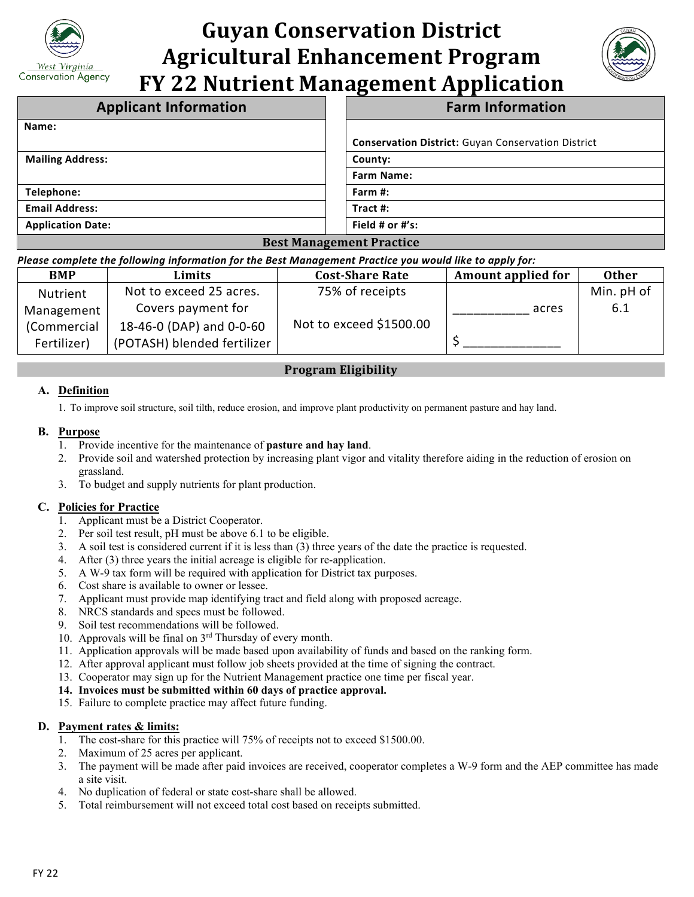

# **Guyan Conservation District Agricultural Enhancement Program FY 22 Nutrient Management Application**



| <b>Applicant Information</b>                        | <b>Farm Information</b>                                   |  |  |  |
|-----------------------------------------------------|-----------------------------------------------------------|--|--|--|
| Name:                                               |                                                           |  |  |  |
|                                                     | <b>Conservation District:</b> Guyan Conservation District |  |  |  |
| <b>Mailing Address:</b>                             | County:                                                   |  |  |  |
|                                                     | <b>Farm Name:</b>                                         |  |  |  |
| Telephone:                                          | Farm #:                                                   |  |  |  |
| <b>Email Address:</b>                               | Tract $#$ :                                               |  |  |  |
| <b>Application Date:</b>                            | Field # or #'s:                                           |  |  |  |
| $\mathbf{r}$ . $\mathbf{r}$<br>$\sim$ $\sim$ $\sim$ |                                                           |  |  |  |

# **Best Management Practice**

#### *Please complete the following information for the Best Management Practice you would like to apply for:*

| <b>BMP</b>  | Limits                      | <b>Cost-Share Rate</b>  | <b>Amount applied for</b> | <b>Other</b> |
|-------------|-----------------------------|-------------------------|---------------------------|--------------|
| Nutrient    | Not to exceed 25 acres.     | 75% of receipts         |                           | Min. pH of   |
| Management  | Covers payment for          |                         | acres                     | 6.1          |
| (Commercial | 18-46-0 (DAP) and 0-0-60    | Not to exceed \$1500.00 |                           |              |
| Fertilizer) | (POTASH) blended fertilizer |                         |                           |              |

# **Program Eligibility**

# **A. Definition**

1. To improve soil structure, soil tilth, reduce erosion, and improve plant productivity on permanent pasture and hay land.

#### **B. Purpose**

- 1. Provide incentive for the maintenance of **pasture and hay land**.
- 2. Provide soil and watershed protection by increasing plant vigor and vitality therefore aiding in the reduction of erosion on grassland.
- 3. To budget and supply nutrients for plant production.

# **C. Policies for Practice**

- 1. Applicant must be a District Cooperator.
- 2. Per soil test result, pH must be above 6.1 to be eligible.
- 3. A soil test is considered current if it is less than (3) three years of the date the practice is requested. 4. After (3) three years the initial acreage is eligible for re-application.
- 
- 5. A W-9 tax form will be required with application for District tax purposes.
- 6. Cost share is available to owner or lessee.
- 7. Applicant must provide map identifying tract and field along with proposed acreage.
- 8. NRCS standards and specs must be followed.
- 9. Soil test recommendations will be followed.
- 10. Approvals will be final on 3rd Thursday of every month.
- 11. Application approvals will be made based upon availability of funds and based on the ranking form.
- 12. After approval applicant must follow job sheets provided at the time of signing the contract.
- 13. Cooperator may sign up for the Nutrient Management practice one time per fiscal year.

#### **14. Invoices must be submitted within 60 days of practice approval.**

15. Failure to complete practice may affect future funding.

#### **D. Payment rates & limits:**

- 1. The cost-share for this practice will 75% of receipts not to exceed \$1500.00.
- 2. Maximum of 25 acres per applicant.
- 3. The payment will be made after paid invoices are received, cooperator completes a W-9 form and the AEP committee has made a site visit.
- 4. No duplication of federal or state cost-share shall be allowed.
- 5. Total reimbursement will not exceed total cost based on receipts submitted.